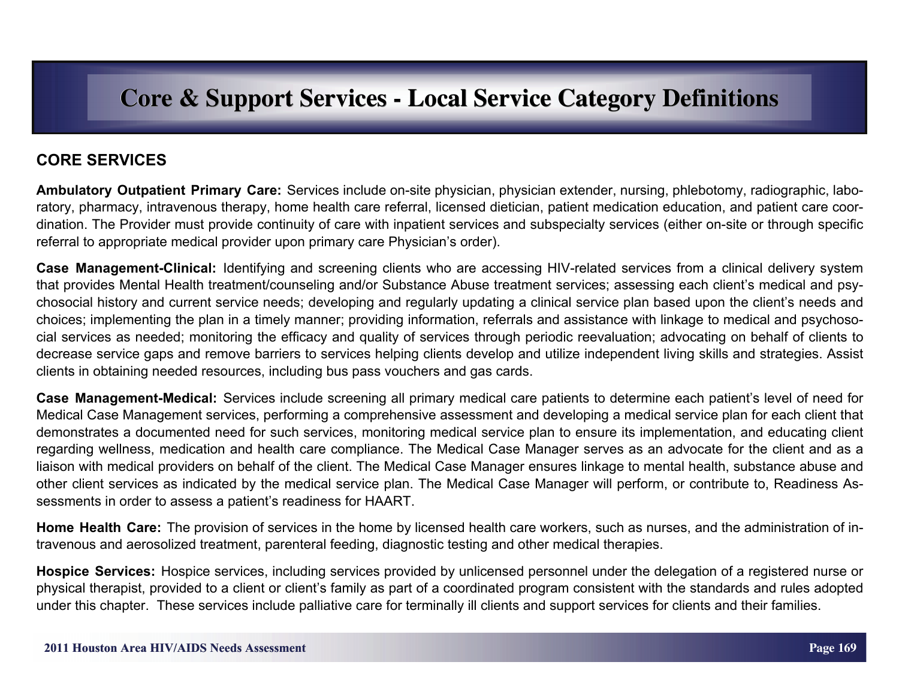## **CORE SERVICES**

**Ambulatory Outpatient Primary Care:** Services include on-site physician, physician extender, nursing, phlebotomy, radiographic, laboratory, pharmacy, intravenous therapy, home health care referral, licensed dietician, patient medication education, and patient care coordination. The Provider must provide continuity of care with inpatient services and subspecialty services (either on-site or through specific referral to appropriate medical provider upon primary care Physician's order).

**Case Management-Clinical:** Identifying and screening clients who are accessing HIV-related services from a clinical delivery system that provides Mental Health treatment/counseling and/or Substance Abuse treatment services; assessing each client's medical and psychosocial history and current service needs; developing and regularly updating a clinical service plan based upon the client's needs and choices; implementing the plan in a timely manner; providing information, referrals and assistance with linkage to medical and psychosocial services as needed; monitoring the efficacy and quality of services through periodic reevaluation; advocating on behalf of clients to decrease service gaps and remove barriers to services helping clients develop and utilize independent living skills and strategies. Assist clients in obtaining needed resources, including bus pass vouchers and gas cards.

**Case Management-Medical:** Services include screening all primary medical care patients to determine each patient's level of need for Medical Case Management services, performing a comprehensive assessment and developing a medical service plan for each client that demonstrates a documented need for such services, monitoring medical service plan to ensure its implementation, and educating client regarding wellness, medication and health care compliance. The Medical Case Manager serves as an advocate for the client and as a liaison with medical providers on behalf of the client. The Medical Case Manager ensures linkage to mental health, substance abuse and other client services as indicated by the medical service plan. The Medical Case Manager will perform, or contribute to, Readiness Assessments in order to assess a patient's readiness for HAART.

**Home Health Care:** The provision of services in the home by licensed health care workers, such as nurses, and the administration of intravenous and aerosolized treatment, parenteral feeding, diagnostic testing and other medical therapies.

**Hospice Services:** Hospice services, including services provided by unlicensed personnel under the delegation of a registered nurse or physical therapist, provided to a client or client's family as part of a coordinated program consistent with the standards and rules adopted under this chapter. These services include palliative care for terminally ill clients and support services for clients and their families.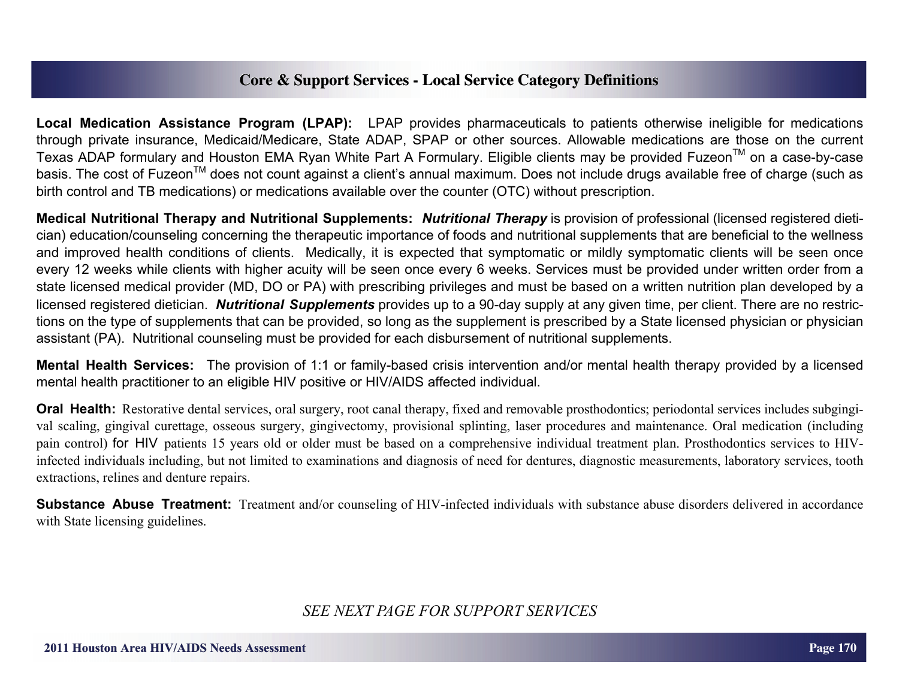**Local Medication Assistance Program (LPAP):** LPAP provides pharmaceuticals to patients otherwise ineligible for medications through private insurance, Medicaid/Medicare, State ADAP, SPAP or other sources. Allowable medications are those on the current Texas ADAP formulary and Houston EMA Ryan White Part A Formulary. Eligible clients may be provided Fuzeon™ on a case-by-case basis. The cost of Fuzeon™ does not count against a client's annual maximum. Does not include drugs available free of charge (such as birth control and TB medications) or medications available over the counter (OTC) without prescription.

**Medical Nutritional Therapy and Nutritional Supplements:** *Nutritional Therapy* is provision of professional (licensed registered dietician) education/counseling concerning the therapeutic importance of foods and nutritional supplements that are beneficial to the wellness and improved health conditions of clients. Medically, it is expected that symptomatic or mildly symptomatic clients will be seen once every 12 weeks while clients with higher acuity will be seen once every 6 weeks. Services must be provided under written order from a state licensed medical provider (MD, DO or PA) with prescribing privileges and must be based on a written nutrition plan developed by a licensed registered dietician. *Nutritional Supplements* provides up to a 90-day supply at any given time, per client. There are no restrictions on the type of supplements that can be provided, so long as the supplement is prescribed by a State licensed physician or physician assistant (PA). Nutritional counseling must be provided for each disbursement of nutritional supplements.

**Mental Health Services:** The provision of 1:1 or family-based crisis intervention and/or mental health therapy provided by a licensed mental health practitioner to an eligible HIV positive or HIV/AIDS affected individual.

**Oral Health:** Restorative dental services, oral surgery, root canal therapy, fixed and removable prosthodontics; periodontal services includes subgingival scaling, gingival curettage, osseous surgery, gingivectomy, provisional splinting, laser procedures and maintenance. Oral medication (including pain control) for HIV patients 15 years old or older must be based on a comprehensive individual treatment plan. Prosthodontics services to HIVinfected individuals including, but not limited to examinations and diagnosis of need for dentures, diagnostic measurements, laboratory services, tooth extractions, relines and denture repairs.

**Substance Abuse Treatment:** Treatment and/or counseling of HIV-infected individuals with substance abuse disorders delivered in accordance with State licensing guidelines.

*SEE NEXT PAGE FOR SUPPORT SERVICES*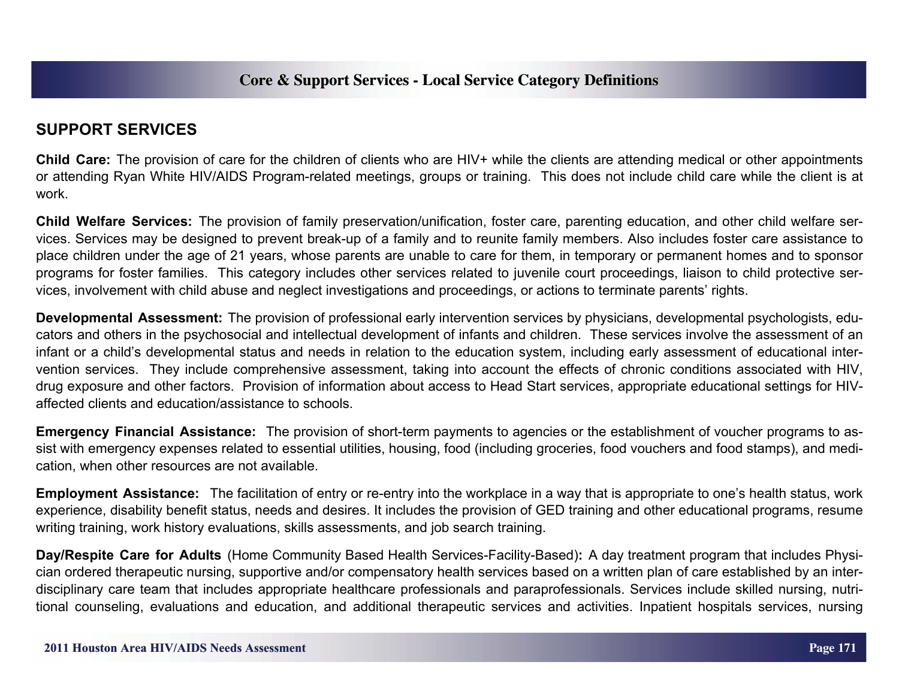## **SUPPORT SERVICES**

**Child Care:** The provision of care for the children of clients who are HIV+ while the clients are attending medical or other appointments or attending Ryan White HIV/AIDS Program-related meetings, groups or training. This does not include child care while the client is at work.

**Child Welfare Services:** The provision of family preservation/unification, foster care, parenting education, and other child welfare services. Services may be designed to prevent break-up of a family and to reunite family members. Also includes foster care assistance to place children under the age of 21 years, whose parents are unable to care for them, in temporary or permanent homes and to sponsor programs for foster families. This category includes other services related to juvenile court proceedings, liaison to child protective services, involvement with child abuse and neglect investigations and proceedings, or actions to terminate parents' rights.

**Developmental Assessment:** The provision of professional early intervention services by physicians, developmental psychologists, educators and others in the psychosocial and intellectual development of infants and children. These services involve the assessment of an infant or a child's developmental status and needs in relation to the education system, including early assessment of educational intervention services. They include comprehensive assessment, taking into account the effects of chronic conditions associated with HIV, drug exposure and other factors. Provision of information about access to Head Start services, appropriate educational settings for HIVaffected clients and education/assistance to schools.

**Emergency Financial Assistance:** The provision of short-term payments to agencies or the establishment of voucher programs to assist with emergency expenses related to essential utilities, housing, food (including groceries, food vouchers and food stamps), and medication, when other resources are not available.

**Employment Assistance:** The facilitation of entry or re-entry into the workplace in a way that is appropriate to one's health status, work experience, disability benefit status, needs and desires. It includes the provision of GED training and other educational programs, resume writing training, work history evaluations, skills assessments, and job search training.

**Day/Respite Care for Adults** (Home Community Based Health Services-Facility-Based)**:** A day treatment program that includes Physician ordered therapeutic nursing, supportive and/or compensatory health services based on a written plan of care established by an interdisciplinary care team that includes appropriate healthcare professionals and paraprofessionals. Services include skilled nursing, nutritional counseling, evaluations and education, and additional therapeutic services and activities. Inpatient hospitals services, nursing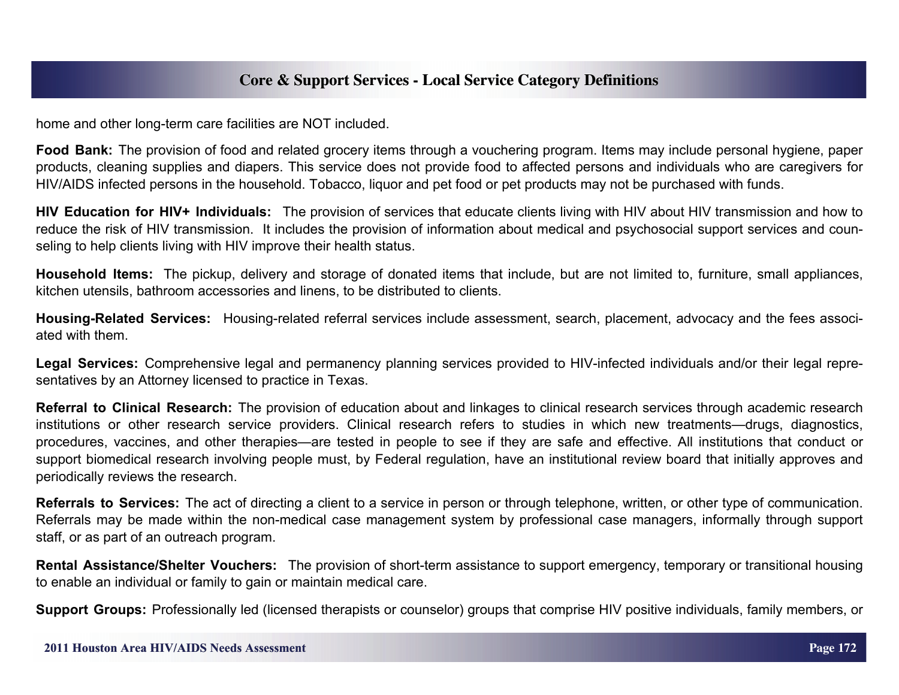home and other long-term care facilities are NOT included.

**Food Bank:** The provision of food and related grocery items through a vouchering program. Items may include personal hygiene, paper products, cleaning supplies and diapers. This service does not provide food to affected persons and individuals who are caregivers for HIV/AIDS infected persons in the household. Tobacco, liquor and pet food or pet products may not be purchased with funds.

**HIV Education for HIV+ Individuals:** The provision of services that educate clients living with HIV about HIV transmission and how to reduce the risk of HIV transmission. It includes the provision of information about medical and psychosocial support services and counseling to help clients living with HIV improve their health status.

**Household Items:** The pickup, delivery and storage of donated items that include, but are not limited to, furniture, small appliances, kitchen utensils, bathroom accessories and linens, to be distributed to clients.

**Housing-Related Services:** Housing-related referral services include assessment, search, placement, advocacy and the fees associated with them.

**Legal Services:** Comprehensive legal and permanency planning services provided to HIV-infected individuals and/or their legal representatives by an Attorney licensed to practice in Texas.

**Referral to Clinical Research:** The provision of education about and linkages to clinical research services through academic research institutions or other research service providers. Clinical research refers to studies in which new treatments—drugs, diagnostics, procedures, vaccines, and other therapies—are tested in people to see if they are safe and effective. All institutions that conduct or support biomedical research involving people must, by Federal regulation, have an institutional review board that initially approves and periodically reviews the research.

**Referrals to Services:** The act of directing a client to a service in person or through telephone, written, or other type of communication. Referrals may be made within the non-medical case management system by professional case managers, informally through support staff, or as part of an outreach program.

**Rental Assistance/Shelter Vouchers:** The provision of short-term assistance to support emergency, temporary or transitional housing to enable an individual or family to gain or maintain medical care.

**Support Groups:** Professionally led (licensed therapists or counselor) groups that comprise HIV positive individuals, family members, or